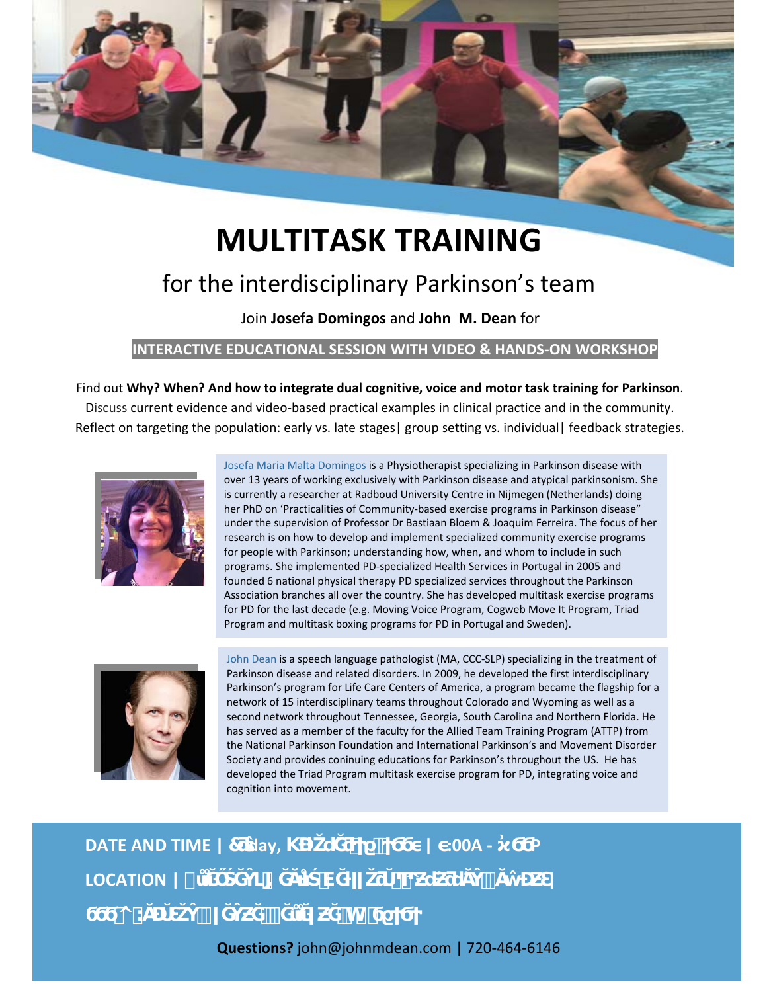

# **MULTITASK TRAINING** for the interdisciplinary Parkinson's team

Join **Josefa Domingos** and **John M. Dean** for

#### **INTERACTIVE EDUCATIONAL SESSION WITH VIDEO & HANDS‐ON WORKSHOP**

Find out **Why? When? And how to integrate dual cognitive, voice and motor task training for Parkinson**. Discuss current evidence and video‐based practical examples in clinical practice and in the community. Reflect on targeting the population: early vs. late stages | group setting vs. individual | feedback strategies.



Josefa Maria Malta Domingos is a Physiotherapist specializing in Parkinson disease with over 13 years of working exclusively with Parkinson disease and atypical parkinsonism. She is currently a researcher at Radboud University Centre in Nijmegen (Netherlands) doing her PhD on 'Practicalities of Community-based exercise programs in Parkinson disease" under the supervision of Professor Dr Bastiaan Bloem & Joaquim Ferreira. The focus of her research is on how to develop and implement specialized community exercise programs for people with Parkinson; understanding how, when, and whom to include in such programs. She implemented PD‐specialized Health Services in Portugal in 2005 and founded 6 national physical therapy PD specialized services throughout the Parkinson Association branches all over the country. She has developed multitask exercise programs for PD for the last decade (e.g. Moving Voice Program, Cogweb Move It Program, Triad Program and multitask boxing programs for PD in Portugal and Sweden).



John Dean is a speech language pathologist (MA, CCC‐SLP) specializing in the treatment of Parkinson disease and related disorders. In 2009, he developed the first interdisciplinary Parkinson's program for Life Care Centers of America, a program became the flagship for a network of 15 interdisciplinary teams throughout Colorado and Wyoming as well as a second network throughout Tennessee, Georgia, South Carolina and Northern Florida. He has served as a member of the faculty for the Allied Team Training Program (ATTP) from the National Parkinson Foundation and International Parkinson's and Movement Disorder Society and provides coninuing educations for Parkinson's throughout the US. He has developed the Triad Program multitask exercise program for PD, integrating voice and cognition into movement.

## **DATE AND TIME | 7 day, \end{cases } \times } \times } \times } \times } \times } \times } \times } \times } \times } \times } \times } \times } \times } \times } \times } \times } \times } \times } \times } \times } \time** LOCATION | ໋ Ŭ ີ່ **ϭϬϬ^͘:ĂĐŬƐŽŶǀĞŶƵĞ͕ĞůůĞǀƵĞ͕WϭϱϮϬϮ**

**Questions?** john@johnmdean.com | 720‐464‐6146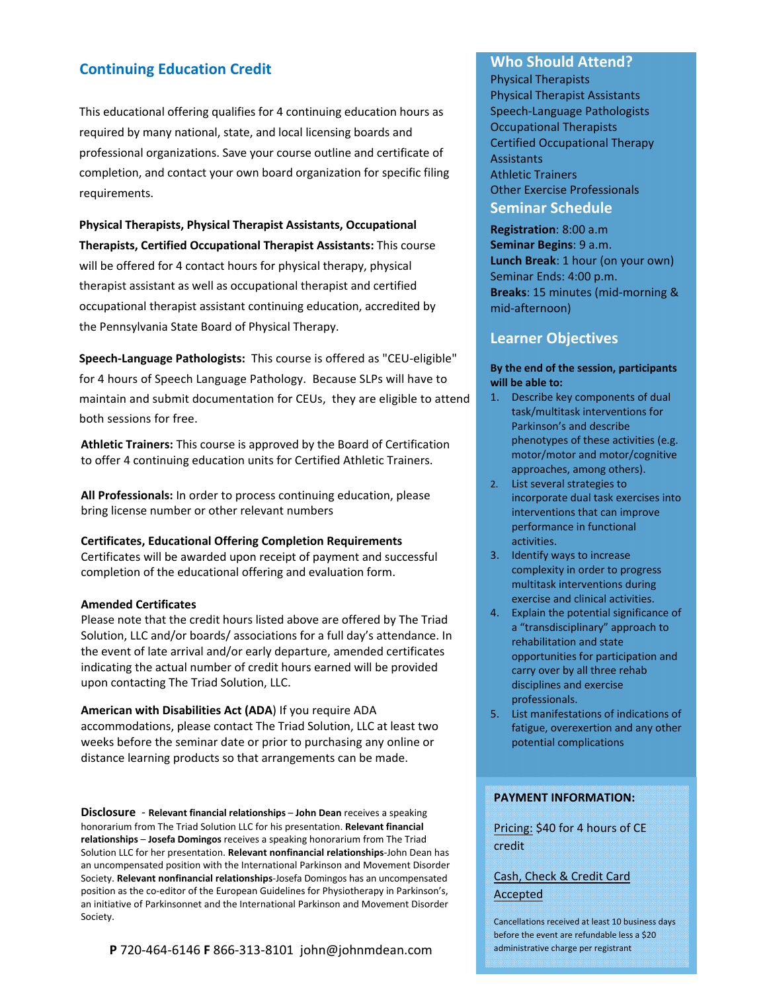#### **Continuing Education Credit**

This educational offering qualifies for 4 continuing education hours as required by many national, state, and local licensing boards and professional organizations. Save your course outline and certificate of completion, and contact your own board organization for specific filing requirements.

**Physical Therapists, Physical Therapist Assistants, Occupational Therapists, Certified Occupational Therapist Assistants:** This course will be offered for 4 contact hours for physical therapy, physical therapist assistant as well as occupational therapist and certified occupational therapist assistant continuing education, accredited by the Pennsylvania State Board of Physical Therapy.

**Speech‐Language Pathologists:** This course is offered as "CEU-eligible" for 4 hours of Speech Language Pathology. Because SLPs will have to maintain and submit documentation for CEUs, they are eligible to attend both sessions for free.

**Athletic Trainers:** This course is approved by the Board of Certification to offer 4 continuing education units for Certified Athletic Trainers.

**All Professionals:** In order to process continuing education, please bring license number or other relevant numbers

#### **Certificates, Educational Offering Completion Requirements**

Certificates will be awarded upon receipt of payment and successful completion of the educational offering and evaluation form.

#### **Amended Certificates**

Please note that the credit hours listed above are offered by The Triad Solution, LLC and/or boards/ associations for a full day's attendance. In the event of late arrival and/or early departure, amended certificates indicating the actual number of credit hours earned will be provided upon contacting The Triad Solution, LLC.

**American with Disabilities Act (ADA**) If you require ADA accommodations, please contact The Triad Solution, LLC at least two weeks before the seminar date or prior to purchasing any online or distance learning products so that arrangements can be made.

**Disclosure** ‐ **Relevant financial relationships** – **John Dean** receives a speaking honorarium from The Triad Solution LLC for his presentation. **Relevant financial relationships** – **Josefa Domingos** receives a speaking honorarium from The Triad Solution LLC for her presentation. **Relevant nonfinancial relationships**‐John Dean has an uncompensated position with the International Parkinson and Movement Disorder Society. **Relevant nonfinancial relationships**‐Josefa Domingos has an uncompensated position as the co‐editor of the European Guidelines for Physiotherapy in Parkinson's, an initiative of Parkinsonnet and the International Parkinson and Movement Disorder Society.

#### **P** 720‐464‐6146 **F** 866‐313‐8101 john@johnmdean.com

#### **Who Should Attend?**

Physical Therapists Physical Therapist Assistants Speech‐Language Pathologists Occupational Therapists Certified Occupational Therapy **Assistants** Athletic Trainers Other Exercise Professionals **Seminar Schedule** 

**Registration**: 8:00 a.m **Seminar Begins**: 9 a.m. **Lunch Break**: 1 hour (on your own) Seminar Ends: 4:00 p.m. **Breaks**: 15 minutes (mid‐morning & mid‐afternoon)

#### **Learner Objectives**

#### **By the end of the session, participants will be able to:**

- 1. Describe key components of dual task/multitask interventions for Parkinson's and describe phenotypes of these activities (e.g. motor/motor and motor/cognitive approaches, among others).
- 2. List several strategies to incorporate dual task exercises into interventions that can improve performance in functional activities.
- 3. Identify ways to increase complexity in order to progress multitask interventions during exercise and clinical activities.
- 4. Explain the potential significance of a "transdisciplinary" approach to rehabilitation and state opportunities for participation and carry over by all three rehab disciplines and exercise professionals.
- 5. List manifestations of indications of fatigue, overexertion and any other potential complications

#### **PAYMENT INFORMATION:**

Pricing: \$40 for 4 hours of CE credit

Cash, Check & Credit Card Accepted

Cancellations received at least 10 business days before the event are refundable less a \$20 administrative charge per registrant